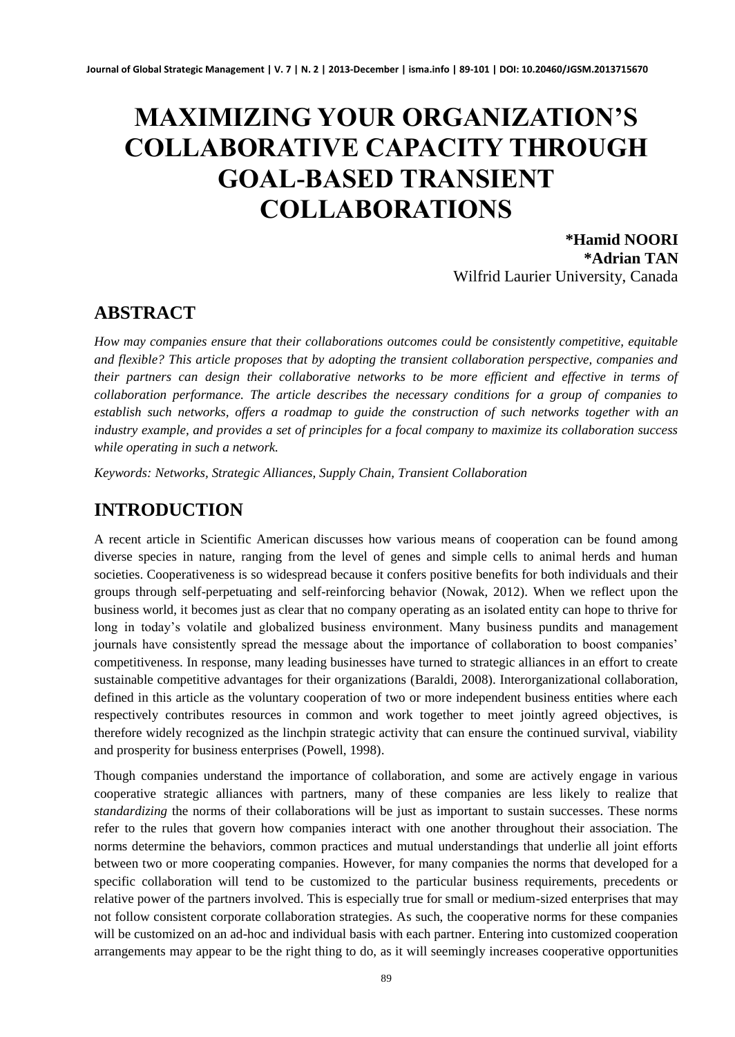# **MAXIMIZING YOUR ORGANIZATION'S COLLABORATIVE CAPACITY THROUGH GOAL-BASED TRANSIENT COLLABORATIONS**

**\*Hamid NOORI \*Adrian TAN** Wilfrid Laurier University, Canada

#### **ABSTRACT**

*How may companies ensure that their collaborations outcomes could be consistently competitive, equitable and flexible? This article proposes that by adopting the transient collaboration perspective, companies and their partners can design their collaborative networks to be more efficient and effective in terms of collaboration performance. The article describes the necessary conditions for a group of companies to establish such networks, offers a roadmap to guide the construction of such networks together with an industry example, and provides a set of principles for a focal company to maximize its collaboration success while operating in such a network.*

*Keywords: Networks, Strategic Alliances, Supply Chain, Transient Collaboration*

### **INTRODUCTION**

A recent article in Scientific American discusses how various means of cooperation can be found among diverse species in nature, ranging from the level of genes and simple cells to animal herds and human societies. Cooperativeness is so widespread because it confers positive benefits for both individuals and their groups through self-perpetuating and self-reinforcing behavior (Nowak, 2012). When we reflect upon the business world, it becomes just as clear that no company operating as an isolated entity can hope to thrive for long in today's volatile and globalized business environment. Many business pundits and management journals have consistently spread the message about the importance of collaboration to boost companies' competitiveness. In response, many leading businesses have turned to strategic alliances in an effort to create sustainable competitive advantages for their organizations (Baraldi, 2008). Interorganizational collaboration, defined in this article as the voluntary cooperation of two or more independent business entities where each respectively contributes resources in common and work together to meet jointly agreed objectives, is therefore widely recognized as the linchpin strategic activity that can ensure the continued survival, viability and prosperity for business enterprises (Powell, 1998).

Though companies understand the importance of collaboration, and some are actively engage in various cooperative strategic alliances with partners, many of these companies are less likely to realize that *standardizing* the norms of their collaborations will be just as important to sustain successes. These norms refer to the rules that govern how companies interact with one another throughout their association. The norms determine the behaviors, common practices and mutual understandings that underlie all joint efforts between two or more cooperating companies. However, for many companies the norms that developed for a specific collaboration will tend to be customized to the particular business requirements, precedents or relative power of the partners involved. This is especially true for small or medium-sized enterprises that may not follow consistent corporate collaboration strategies. As such, the cooperative norms for these companies will be customized on an ad-hoc and individual basis with each partner. Entering into customized cooperation arrangements may appear to be the right thing to do, as it will seemingly increases cooperative opportunities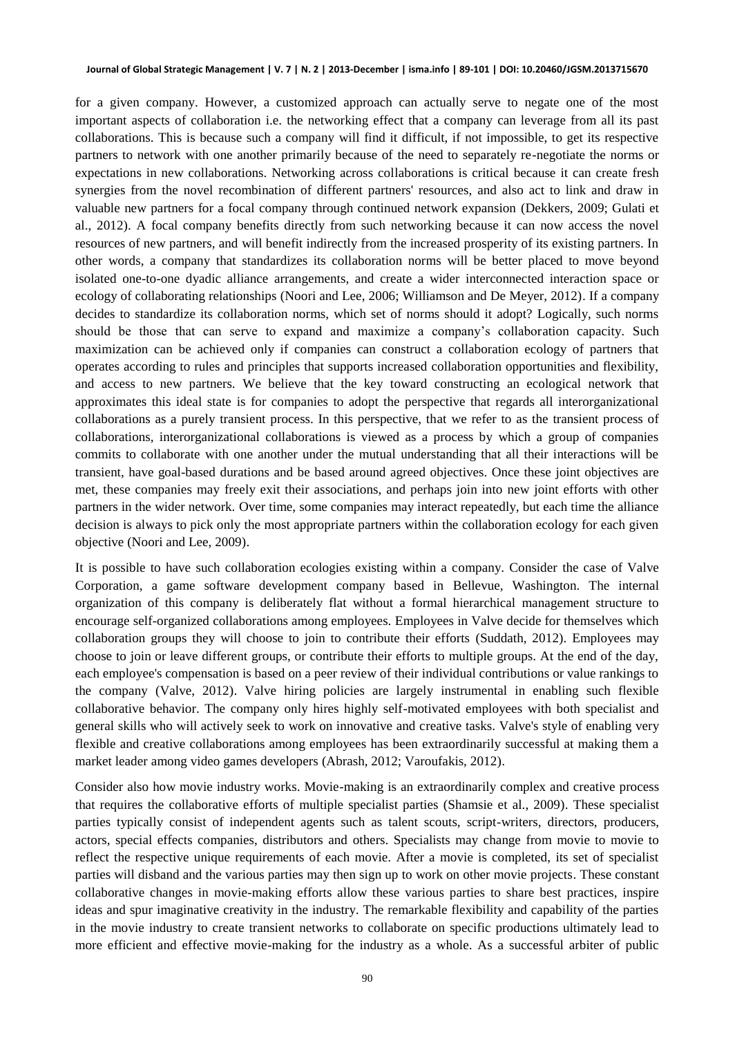for a given company. However, a customized approach can actually serve to negate one of the most important aspects of collaboration i.e. the networking effect that a company can leverage from all its past collaborations. This is because such a company will find it difficult, if not impossible, to get its respective partners to network with one another primarily because of the need to separately re-negotiate the norms or expectations in new collaborations. Networking across collaborations is critical because it can create fresh synergies from the novel recombination of different partners' resources, and also act to link and draw in valuable new partners for a focal company through continued network expansion (Dekkers, 2009; Gulati et al., 2012). A focal company benefits directly from such networking because it can now access the novel resources of new partners, and will benefit indirectly from the increased prosperity of its existing partners. In other words, a company that standardizes its collaboration norms will be better placed to move beyond isolated one-to-one dyadic alliance arrangements, and create a wider interconnected interaction space or ecology of collaborating relationships (Noori and Lee, 2006; Williamson and De Meyer, 2012). If a company decides to standardize its collaboration norms, which set of norms should it adopt? Logically, such norms should be those that can serve to expand and maximize a company's collaboration capacity. Such maximization can be achieved only if companies can construct a collaboration ecology of partners that operates according to rules and principles that supports increased collaboration opportunities and flexibility, and access to new partners. We believe that the key toward constructing an ecological network that approximates this ideal state is for companies to adopt the perspective that regards all interorganizational collaborations as a purely transient process. In this perspective, that we refer to as the transient process of collaborations, interorganizational collaborations is viewed as a process by which a group of companies commits to collaborate with one another under the mutual understanding that all their interactions will be transient, have goal-based durations and be based around agreed objectives. Once these joint objectives are met, these companies may freely exit their associations, and perhaps join into new joint efforts with other partners in the wider network. Over time, some companies may interact repeatedly, but each time the alliance decision is always to pick only the most appropriate partners within the collaboration ecology for each given objective (Noori and Lee, 2009).

It is possible to have such collaboration ecologies existing within a company. Consider the case of Valve Corporation, a game software development company based in Bellevue, Washington. The internal organization of this company is deliberately flat without a formal hierarchical management structure to encourage self-organized collaborations among employees. Employees in Valve decide for themselves which collaboration groups they will choose to join to contribute their efforts (Suddath, 2012). Employees may choose to join or leave different groups, or contribute their efforts to multiple groups. At the end of the day, each employee's compensation is based on a peer review of their individual contributions or value rankings to the company (Valve, 2012). Valve hiring policies are largely instrumental in enabling such flexible collaborative behavior. The company only hires highly self-motivated employees with both specialist and general skills who will actively seek to work on innovative and creative tasks. Valve's style of enabling very flexible and creative collaborations among employees has been extraordinarily successful at making them a market leader among video games developers (Abrash, 2012; Varoufakis, 2012).

Consider also how movie industry works. Movie-making is an extraordinarily complex and creative process that requires the collaborative efforts of multiple specialist parties (Shamsie et al., 2009). These specialist parties typically consist of independent agents such as talent scouts, script-writers, directors, producers, actors, special effects companies, distributors and others. Specialists may change from movie to movie to reflect the respective unique requirements of each movie. After a movie is completed, its set of specialist parties will disband and the various parties may then sign up to work on other movie projects. These constant collaborative changes in movie-making efforts allow these various parties to share best practices, inspire ideas and spur imaginative creativity in the industry. The remarkable flexibility and capability of the parties in the movie industry to create transient networks to collaborate on specific productions ultimately lead to more efficient and effective movie-making for the industry as a whole. As a successful arbiter of public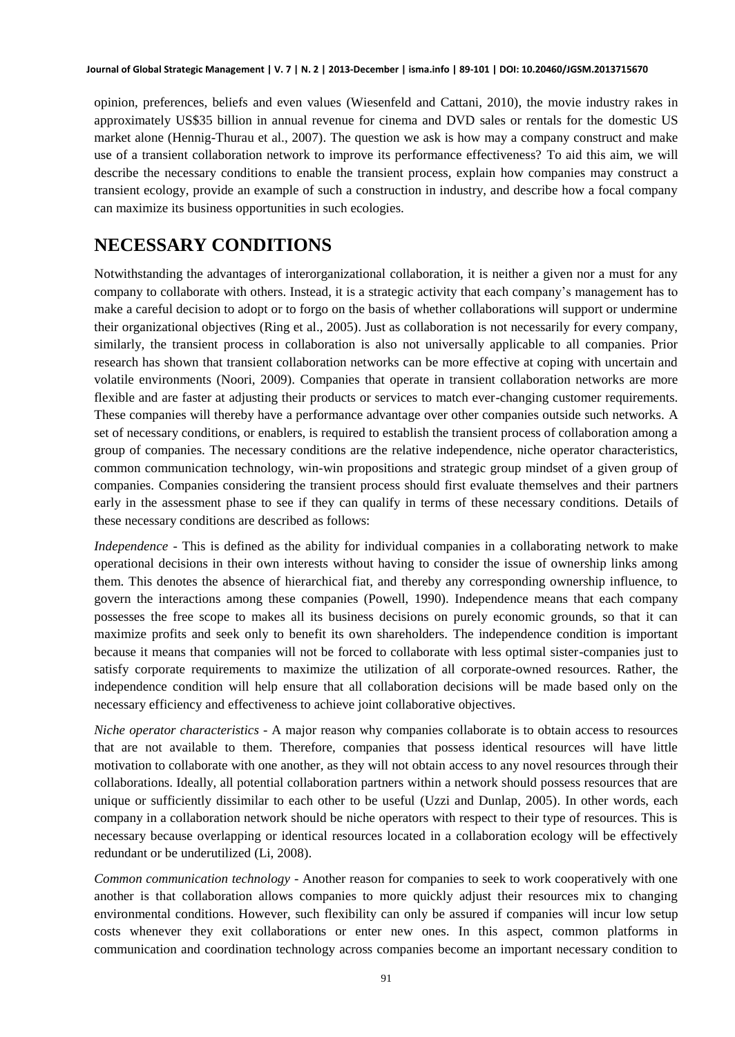opinion, preferences, beliefs and even values (Wiesenfeld and Cattani, 2010), the movie industry rakes in approximately US\$35 billion in annual revenue for cinema and DVD sales or rentals for the domestic US market alone (Hennig-Thurau et al., 2007). The question we ask is how may a company construct and make use of a transient collaboration network to improve its performance effectiveness? To aid this aim, we will describe the necessary conditions to enable the transient process, explain how companies may construct a transient ecology, provide an example of such a construction in industry, and describe how a focal company can maximize its business opportunities in such ecologies.

#### **NECESSARY CONDITIONS**

Notwithstanding the advantages of interorganizational collaboration, it is neither a given nor a must for any company to collaborate with others. Instead, it is a strategic activity that each company's management has to make a careful decision to adopt or to forgo on the basis of whether collaborations will support or undermine their organizational objectives (Ring et al., 2005). Just as collaboration is not necessarily for every company, similarly, the transient process in collaboration is also not universally applicable to all companies. Prior research has shown that transient collaboration networks can be more effective at coping with uncertain and volatile environments (Noori, 2009). Companies that operate in transient collaboration networks are more flexible and are faster at adjusting their products or services to match ever-changing customer requirements. These companies will thereby have a performance advantage over other companies outside such networks. A set of necessary conditions, or enablers, is required to establish the transient process of collaboration among a group of companies. The necessary conditions are the relative independence, niche operator characteristics, common communication technology, win-win propositions and strategic group mindset of a given group of companies. Companies considering the transient process should first evaluate themselves and their partners early in the assessment phase to see if they can qualify in terms of these necessary conditions. Details of these necessary conditions are described as follows:

*Independence* - This is defined as the ability for individual companies in a collaborating network to make operational decisions in their own interests without having to consider the issue of ownership links among them. This denotes the absence of hierarchical fiat, and thereby any corresponding ownership influence, to govern the interactions among these companies (Powell, 1990). Independence means that each company possesses the free scope to makes all its business decisions on purely economic grounds, so that it can maximize profits and seek only to benefit its own shareholders. The independence condition is important because it means that companies will not be forced to collaborate with less optimal sister-companies just to satisfy corporate requirements to maximize the utilization of all corporate-owned resources. Rather, the independence condition will help ensure that all collaboration decisions will be made based only on the necessary efficiency and effectiveness to achieve joint collaborative objectives.

*Niche operator characteristics* - A major reason why companies collaborate is to obtain access to resources that are not available to them. Therefore, companies that possess identical resources will have little motivation to collaborate with one another, as they will not obtain access to any novel resources through their collaborations. Ideally, all potential collaboration partners within a network should possess resources that are unique or sufficiently dissimilar to each other to be useful (Uzzi and Dunlap, 2005). In other words, each company in a collaboration network should be niche operators with respect to their type of resources. This is necessary because overlapping or identical resources located in a collaboration ecology will be effectively redundant or be underutilized (Li, 2008).

*Common communication technology* - Another reason for companies to seek to work cooperatively with one another is that collaboration allows companies to more quickly adjust their resources mix to changing environmental conditions. However, such flexibility can only be assured if companies will incur low setup costs whenever they exit collaborations or enter new ones. In this aspect, common platforms in communication and coordination technology across companies become an important necessary condition to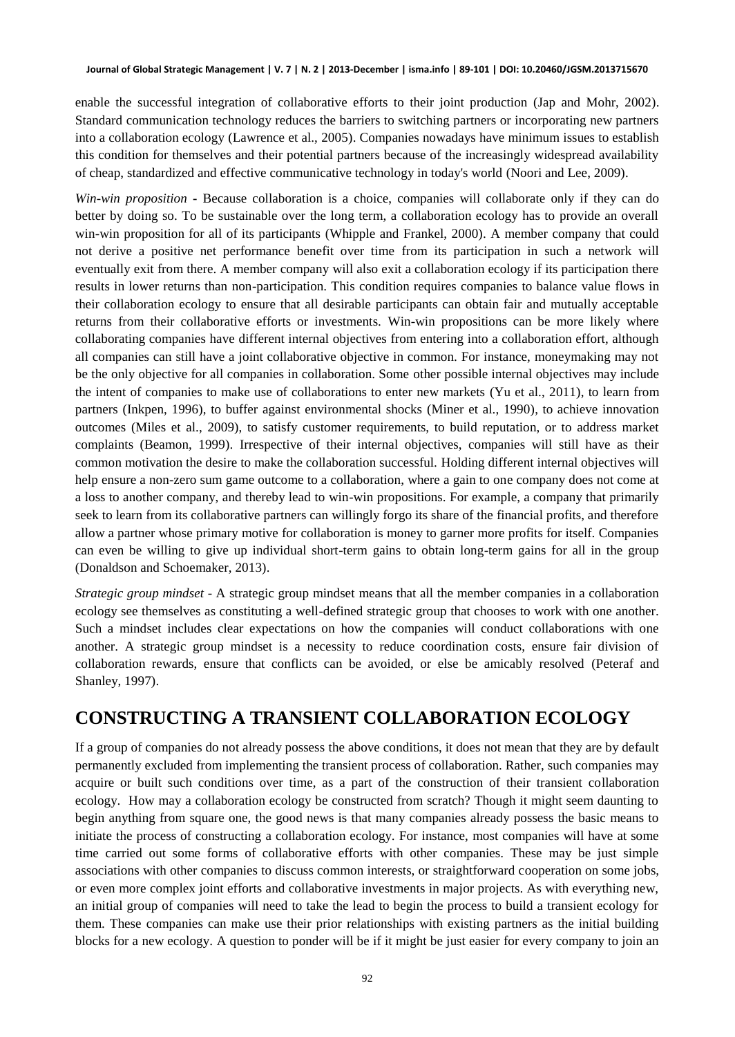enable the successful integration of collaborative efforts to their joint production (Jap and Mohr, 2002). Standard communication technology reduces the barriers to switching partners or incorporating new partners into a collaboration ecology (Lawrence et al., 2005). Companies nowadays have minimum issues to establish this condition for themselves and their potential partners because of the increasingly widespread availability of cheap, standardized and effective communicative technology in today's world (Noori and Lee, 2009).

*Win-win proposition* **-** Because collaboration is a choice, companies will collaborate only if they can do better by doing so. To be sustainable over the long term, a collaboration ecology has to provide an overall win-win proposition for all of its participants (Whipple and Frankel, 2000). A member company that could not derive a positive net performance benefit over time from its participation in such a network will eventually exit from there. A member company will also exit a collaboration ecology if its participation there results in lower returns than non-participation. This condition requires companies to balance value flows in their collaboration ecology to ensure that all desirable participants can obtain fair and mutually acceptable returns from their collaborative efforts or investments. Win-win propositions can be more likely where collaborating companies have different internal objectives from entering into a collaboration effort, although all companies can still have a joint collaborative objective in common. For instance, moneymaking may not be the only objective for all companies in collaboration. Some other possible internal objectives may include the intent of companies to make use of collaborations to enter new markets (Yu et al., 2011), to learn from partners (Inkpen, 1996), to buffer against environmental shocks (Miner et al., 1990), to achieve innovation outcomes (Miles et al., 2009), to satisfy customer requirements, to build reputation, or to address market complaints (Beamon, 1999). Irrespective of their internal objectives, companies will still have as their common motivation the desire to make the collaboration successful. Holding different internal objectives will help ensure a non-zero sum game outcome to a collaboration, where a gain to one company does not come at a loss to another company, and thereby lead to win-win propositions. For example, a company that primarily seek to learn from its collaborative partners can willingly forgo its share of the financial profits, and therefore allow a partner whose primary motive for collaboration is money to garner more profits for itself. Companies can even be willing to give up individual short-term gains to obtain long-term gains for all in the group (Donaldson and Schoemaker, 2013).

*Strategic group mindset* - A strategic group mindset means that all the member companies in a collaboration ecology see themselves as constituting a well-defined strategic group that chooses to work with one another. Such a mindset includes clear expectations on how the companies will conduct collaborations with one another. A strategic group mindset is a necessity to reduce coordination costs, ensure fair division of collaboration rewards, ensure that conflicts can be avoided, or else be amicably resolved (Peteraf and Shanley, 1997).

### **CONSTRUCTING A TRANSIENT COLLABORATION ECOLOGY**

If a group of companies do not already possess the above conditions, it does not mean that they are by default permanently excluded from implementing the transient process of collaboration. Rather, such companies may acquire or built such conditions over time, as a part of the construction of their transient collaboration ecology. How may a collaboration ecology be constructed from scratch? Though it might seem daunting to begin anything from square one, the good news is that many companies already possess the basic means to initiate the process of constructing a collaboration ecology. For instance, most companies will have at some time carried out some forms of collaborative efforts with other companies. These may be just simple associations with other companies to discuss common interests, or straightforward cooperation on some jobs, or even more complex joint efforts and collaborative investments in major projects. As with everything new, an initial group of companies will need to take the lead to begin the process to build a transient ecology for them. These companies can make use their prior relationships with existing partners as the initial building blocks for a new ecology. A question to ponder will be if it might be just easier for every company to join an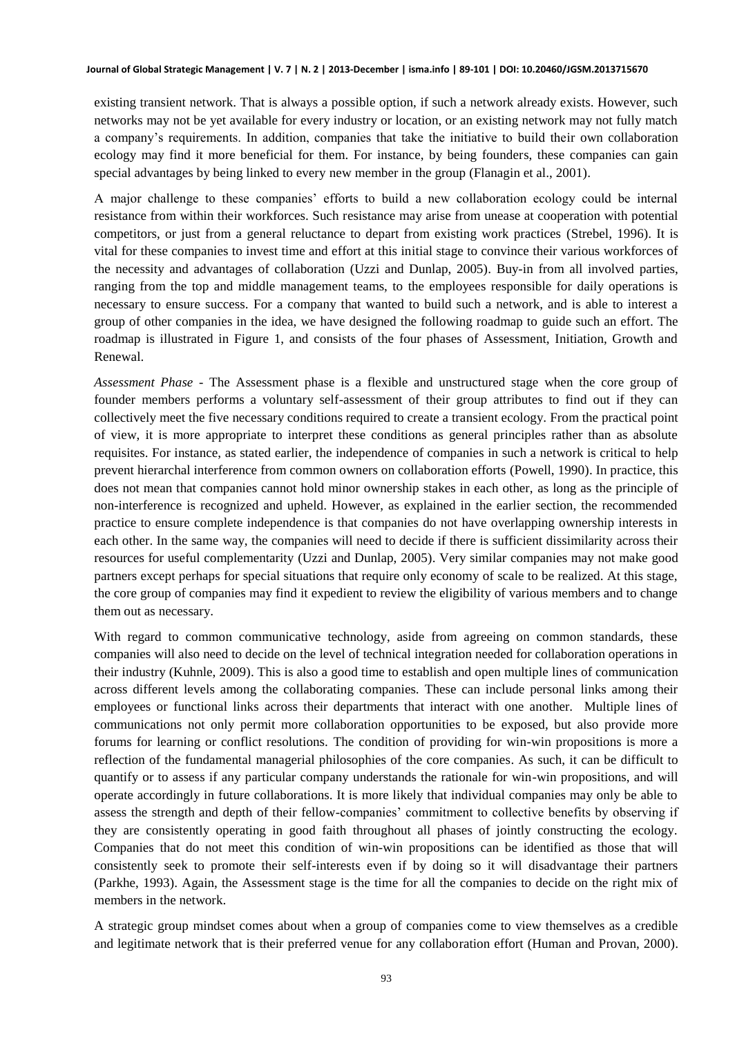existing transient network. That is always a possible option, if such a network already exists. However, such networks may not be yet available for every industry or location, or an existing network may not fully match a company's requirements. In addition, companies that take the initiative to build their own collaboration ecology may find it more beneficial for them. For instance, by being founders, these companies can gain special advantages by being linked to every new member in the group (Flanagin et al., 2001).

A major challenge to these companies' efforts to build a new collaboration ecology could be internal resistance from within their workforces. Such resistance may arise from unease at cooperation with potential competitors, or just from a general reluctance to depart from existing work practices (Strebel, 1996). It is vital for these companies to invest time and effort at this initial stage to convince their various workforces of the necessity and advantages of collaboration (Uzzi and Dunlap, 2005). Buy-in from all involved parties, ranging from the top and middle management teams, to the employees responsible for daily operations is necessary to ensure success. For a company that wanted to build such a network, and is able to interest a group of other companies in the idea, we have designed the following roadmap to guide such an effort. The roadmap is illustrated in Figure 1, and consists of the four phases of Assessment, Initiation, Growth and Renewal.

*Assessment Phase -* The Assessment phase is a flexible and unstructured stage when the core group of founder members performs a voluntary self-assessment of their group attributes to find out if they can collectively meet the five necessary conditions required to create a transient ecology. From the practical point of view, it is more appropriate to interpret these conditions as general principles rather than as absolute requisites. For instance, as stated earlier, the independence of companies in such a network is critical to help prevent hierarchal interference from common owners on collaboration efforts (Powell, 1990). In practice, this does not mean that companies cannot hold minor ownership stakes in each other, as long as the principle of non-interference is recognized and upheld. However, as explained in the earlier section, the recommended practice to ensure complete independence is that companies do not have overlapping ownership interests in each other. In the same way, the companies will need to decide if there is sufficient dissimilarity across their resources for useful complementarity (Uzzi and Dunlap, 2005). Very similar companies may not make good partners except perhaps for special situations that require only economy of scale to be realized. At this stage, the core group of companies may find it expedient to review the eligibility of various members and to change them out as necessary.

With regard to common communicative technology, aside from agreeing on common standards, these companies will also need to decide on the level of technical integration needed for collaboration operations in their industry (Kuhnle, 2009). This is also a good time to establish and open multiple lines of communication across different levels among the collaborating companies. These can include personal links among their employees or functional links across their departments that interact with one another. Multiple lines of communications not only permit more collaboration opportunities to be exposed, but also provide more forums for learning or conflict resolutions. The condition of providing for win-win propositions is more a reflection of the fundamental managerial philosophies of the core companies. As such, it can be difficult to quantify or to assess if any particular company understands the rationale for win-win propositions, and will operate accordingly in future collaborations. It is more likely that individual companies may only be able to assess the strength and depth of their fellow-companies' commitment to collective benefits by observing if they are consistently operating in good faith throughout all phases of jointly constructing the ecology. Companies that do not meet this condition of win-win propositions can be identified as those that will consistently seek to promote their self-interests even if by doing so it will disadvantage their partners (Parkhe, 1993). Again, the Assessment stage is the time for all the companies to decide on the right mix of members in the network.

A strategic group mindset comes about when a group of companies come to view themselves as a credible and legitimate network that is their preferred venue for any collaboration effort (Human and Provan, 2000).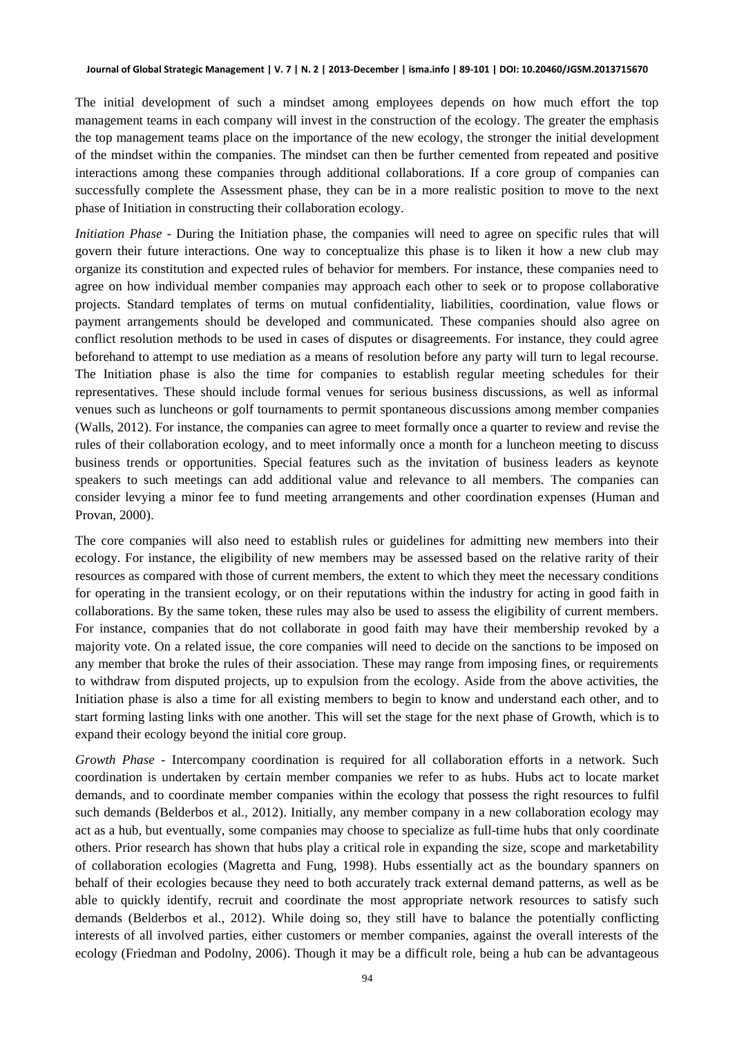The initial development of such a mindset among employees depends on how much effort the top management teams in each company will invest in the construction of the ecology. The greater the emphasis the top management teams place on the importance of the new ecology, the stronger the initial development of the mindset within the companies. The mindset can then be further cemented from repeated and positive interactions among these companies through additional collaborations. If a core group of companies can successfully complete the Assessment phase, they can be in a more realistic position to move to the next phase of Initiation in constructing their collaboration ecology.

*Initiation Phase -* During the Initiation phase, the companies will need to agree on specific rules that will govern their future interactions. One way to conceptualize this phase is to liken it how a new club may organize its constitution and expected rules of behavior for members. For instance, these companies need to agree on how individual member companies may approach each other to seek or to propose collaborative projects. Standard templates of terms on mutual confidentiality, liabilities, coordination, value flows or payment arrangements should be developed and communicated. These companies should also agree on conflict resolution methods to be used in cases of disputes or disagreements. For instance, they could agree beforehand to attempt to use mediation as a means of resolution before any party will turn to legal recourse. The Initiation phase is also the time for companies to establish regular meeting schedules for their representatives. These should include formal venues for serious business discussions, as well as informal venues such as luncheons or golf tournaments to permit spontaneous discussions among member companies (Walls, 2012). For instance, the companies can agree to meet formally once a quarter to review and revise the rules of their collaboration ecology, and to meet informally once a month for a luncheon meeting to discuss business trends or opportunities. Special features such as the invitation of business leaders as keynote speakers to such meetings can add additional value and relevance to all members. The companies can consider levying a minor fee to fund meeting arrangements and other coordination expenses (Human and Provan, 2000).

The core companies will also need to establish rules or guidelines for admitting new members into their ecology. For instance, the eligibility of new members may be assessed based on the relative rarity of their resources as compared with those of current members, the extent to which they meet the necessary conditions for operating in the transient ecology, or on their reputations within the industry for acting in good faith in collaborations. By the same token, these rules may also be used to assess the eligibility of current members. For instance, companies that do not collaborate in good faith may have their membership revoked by a majority vote. On a related issue, the core companies will need to decide on the sanctions to be imposed on any member that broke the rules of their association. These may range from imposing fines, or requirements to withdraw from disputed projects, up to expulsion from the ecology. Aside from the above activities, the Initiation phase is also a time for all existing members to begin to know and understand each other, and to start forming lasting links with one another. This will set the stage for the next phase of Growth, which is to expand their ecology beyond the initial core group.

*Growth Phase -* Intercompany coordination is required for all collaboration efforts in a network. Such coordination is undertaken by certain member companies we refer to as hubs. Hubs act to locate market demands, and to coordinate member companies within the ecology that possess the right resources to fulfil such demands (Belderbos et al., 2012). Initially, any member company in a new collaboration ecology may act as a hub, but eventually, some companies may choose to specialize as full-time hubs that only coordinate others. Prior research has shown that hubs play a critical role in expanding the size, scope and marketability of collaboration ecologies (Magretta and Fung, 1998). Hubs essentially act as the boundary spanners on behalf of their ecologies because they need to both accurately track external demand patterns, as well as be able to quickly identify, recruit and coordinate the most appropriate network resources to satisfy such demands (Belderbos et al., 2012). While doing so, they still have to balance the potentially conflicting interests of all involved parties, either customers or member companies, against the overall interests of the ecology (Friedman and Podolny, 2006). Though it may be a difficult role, being a hub can be advantageous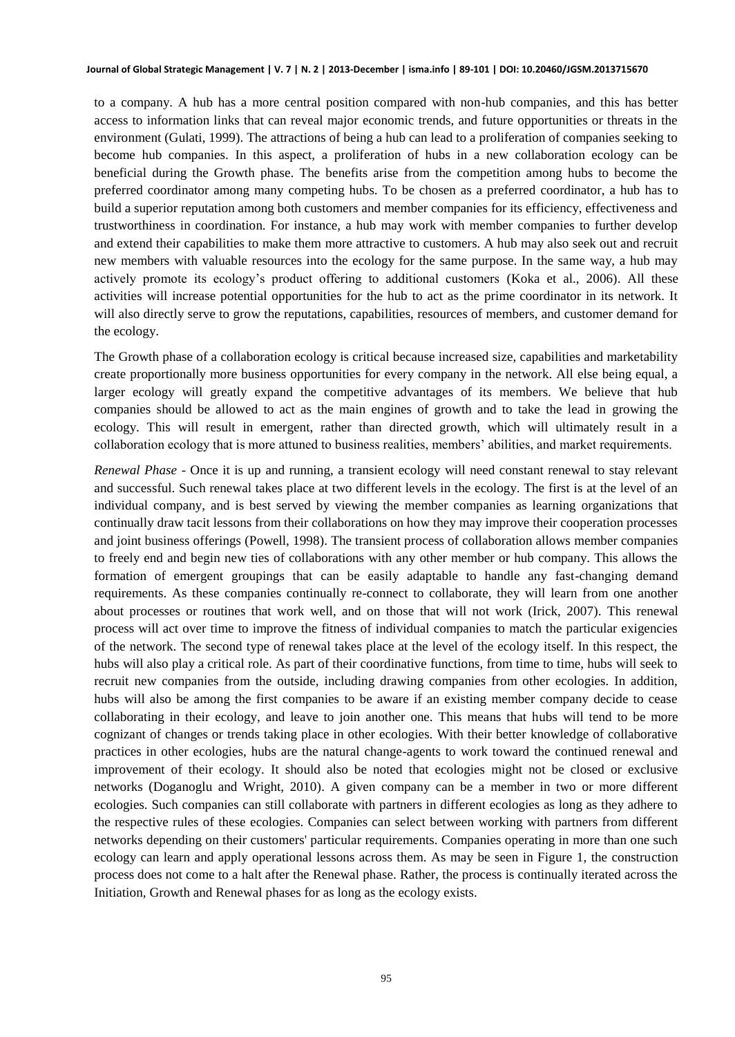#### **Journal of Global Strategic Management | V. 7 | N. 2 | 2013-December | isma.info | 89-101 | DOI: 10.20460/JGSM.2013715670**

to a company. A hub has a more central position compared with non-hub companies, and this has better access to information links that can reveal major economic trends, and future opportunities or threats in the environment (Gulati, 1999). The attractions of being a hub can lead to a proliferation of companies seeking to become hub companies. In this aspect, a proliferation of hubs in a new collaboration ecology can be beneficial during the Growth phase. The benefits arise from the competition among hubs to become the preferred coordinator among many competing hubs. To be chosen as a preferred coordinator, a hub has to build a superior reputation among both customers and member companies for its efficiency, effectiveness and trustworthiness in coordination. For instance, a hub may work with member companies to further develop and extend their capabilities to make them more attractive to customers. A hub may also seek out and recruit new members with valuable resources into the ecology for the same purpose. In the same way, a hub may actively promote its ecology's product offering to additional customers (Koka et al., 2006). All these activities will increase potential opportunities for the hub to act as the prime coordinator in its network. It will also directly serve to grow the reputations, capabilities, resources of members, and customer demand for the ecology.

The Growth phase of a collaboration ecology is critical because increased size, capabilities and marketability create proportionally more business opportunities for every company in the network. All else being equal, a larger ecology will greatly expand the competitive advantages of its members. We believe that hub companies should be allowed to act as the main engines of growth and to take the lead in growing the ecology. This will result in emergent, rather than directed growth, which will ultimately result in a collaboration ecology that is more attuned to business realities, members' abilities, and market requirements.

*Renewal Phase -* Once it is up and running, a transient ecology will need constant renewal to stay relevant and successful. Such renewal takes place at two different levels in the ecology. The first is at the level of an individual company, and is best served by viewing the member companies as learning organizations that continually draw tacit lessons from their collaborations on how they may improve their cooperation processes and joint business offerings (Powell, 1998). The transient process of collaboration allows member companies to freely end and begin new ties of collaborations with any other member or hub company. This allows the formation of emergent groupings that can be easily adaptable to handle any fast-changing demand requirements. As these companies continually re-connect to collaborate, they will learn from one another about processes or routines that work well, and on those that will not work (Irick, 2007). This renewal process will act over time to improve the fitness of individual companies to match the particular exigencies of the network. The second type of renewal takes place at the level of the ecology itself. In this respect, the hubs will also play a critical role. As part of their coordinative functions, from time to time, hubs will seek to recruit new companies from the outside, including drawing companies from other ecologies. In addition, hubs will also be among the first companies to be aware if an existing member company decide to cease collaborating in their ecology, and leave to join another one. This means that hubs will tend to be more cognizant of changes or trends taking place in other ecologies. With their better knowledge of collaborative practices in other ecologies, hubs are the natural change-agents to work toward the continued renewal and improvement of their ecology. It should also be noted that ecologies might not be closed or exclusive networks (Doganoglu and Wright, 2010). A given company can be a member in two or more different ecologies. Such companies can still collaborate with partners in different ecologies as long as they adhere to the respective rules of these ecologies. Companies can select between working with partners from different networks depending on their customers' particular requirements. Companies operating in more than one such ecology can learn and apply operational lessons across them. As may be seen in Figure 1, the construction process does not come to a halt after the Renewal phase. Rather, the process is continually iterated across the Initiation, Growth and Renewal phases for as long as the ecology exists.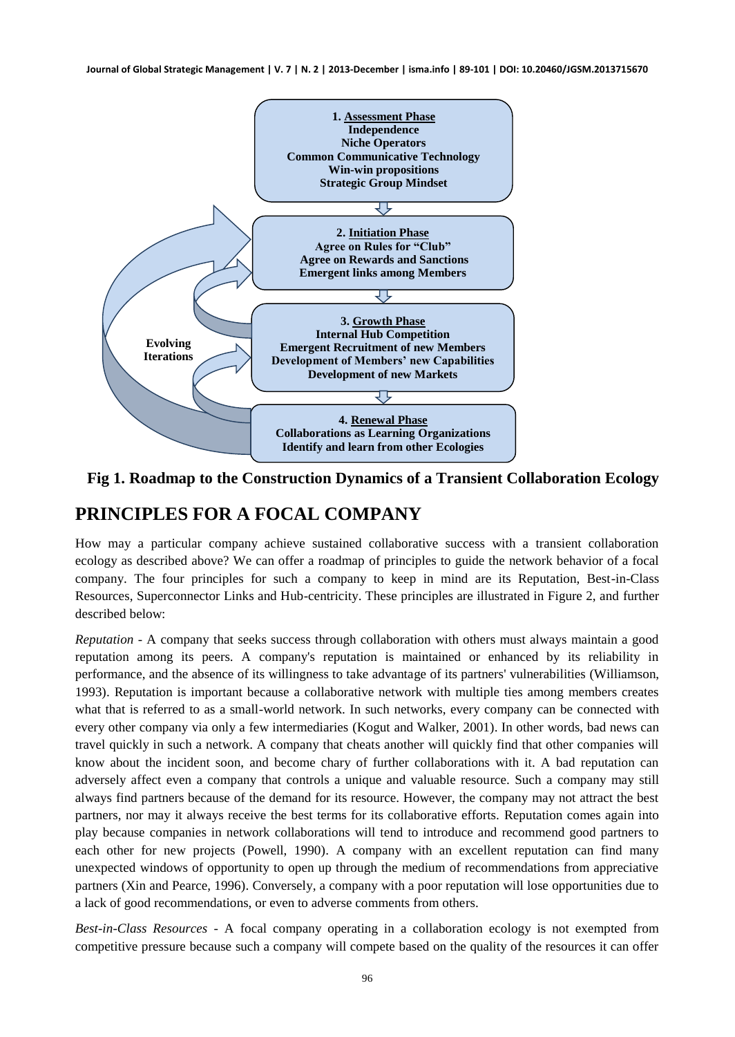**Journal of Global Strategic Management | V. 7 | N. 2 | 2013-December | isma.info | 89-101 | DOI: 10.20460/JGSM.2013715670**



**Fig 1. Roadmap to the Construction Dynamics of a Transient Collaboration Ecology**

#### **PRINCIPLES FOR A FOCAL COMPANY**

How may a particular company achieve sustained collaborative success with a transient collaboration ecology as described above? We can offer a roadmap of principles to guide the network behavior of a focal company. The four principles for such a company to keep in mind are its Reputation, Best-in-Class Resources, Superconnector Links and Hub-centricity. These principles are illustrated in Figure 2, and further described below:

*Reputation* - A company that seeks success through collaboration with others must always maintain a good reputation among its peers. A company's reputation is maintained or enhanced by its reliability in performance, and the absence of its willingness to take advantage of its partners' vulnerabilities (Williamson, 1993). Reputation is important because a collaborative network with multiple ties among members creates what that is referred to as a small-world network. In such networks, every company can be connected with every other company via only a few intermediaries (Kogut and Walker, 2001). In other words, bad news can travel quickly in such a network. A company that cheats another will quickly find that other companies will know about the incident soon, and become chary of further collaborations with it. A bad reputation can adversely affect even a company that controls a unique and valuable resource. Such a company may still always find partners because of the demand for its resource. However, the company may not attract the best partners, nor may it always receive the best terms for its collaborative efforts. Reputation comes again into play because companies in network collaborations will tend to introduce and recommend good partners to each other for new projects (Powell, 1990). A company with an excellent reputation can find many unexpected windows of opportunity to open up through the medium of recommendations from appreciative partners (Xin and Pearce, 1996). Conversely, a company with a poor reputation will lose opportunities due to a lack of good recommendations, or even to adverse comments from others.

*Best-in-Class Resources* - A focal company operating in a collaboration ecology is not exempted from competitive pressure because such a company will compete based on the quality of the resources it can offer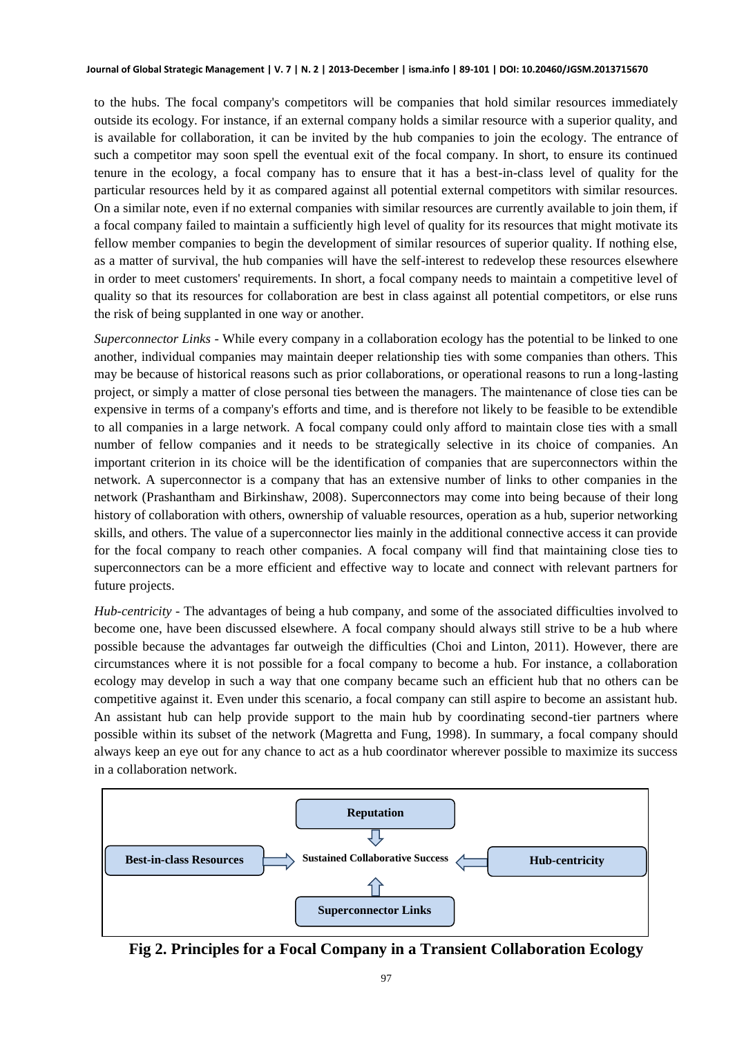to the hubs. The focal company's competitors will be companies that hold similar resources immediately outside its ecology. For instance, if an external company holds a similar resource with a superior quality, and is available for collaboration, it can be invited by the hub companies to join the ecology. The entrance of such a competitor may soon spell the eventual exit of the focal company. In short, to ensure its continued tenure in the ecology, a focal company has to ensure that it has a best-in-class level of quality for the particular resources held by it as compared against all potential external competitors with similar resources. On a similar note, even if no external companies with similar resources are currently available to join them, if a focal company failed to maintain a sufficiently high level of quality for its resources that might motivate its fellow member companies to begin the development of similar resources of superior quality. If nothing else, as a matter of survival, the hub companies will have the self-interest to redevelop these resources elsewhere in order to meet customers' requirements. In short, a focal company needs to maintain a competitive level of quality so that its resources for collaboration are best in class against all potential competitors, or else runs the risk of being supplanted in one way or another.

*Superconnector Links* - While every company in a collaboration ecology has the potential to be linked to one another, individual companies may maintain deeper relationship ties with some companies than others. This may be because of historical reasons such as prior collaborations, or operational reasons to run a long-lasting project, or simply a matter of close personal ties between the managers. The maintenance of close ties can be expensive in terms of a company's efforts and time, and is therefore not likely to be feasible to be extendible to all companies in a large network. A focal company could only afford to maintain close ties with a small number of fellow companies and it needs to be strategically selective in its choice of companies. An important criterion in its choice will be the identification of companies that are superconnectors within the network. A superconnector is a company that has an extensive number of links to other companies in the network (Prashantham and Birkinshaw, 2008). Superconnectors may come into being because of their long history of collaboration with others, ownership of valuable resources, operation as a hub, superior networking skills, and others. The value of a superconnector lies mainly in the additional connective access it can provide for the focal company to reach other companies. A focal company will find that maintaining close ties to superconnectors can be a more efficient and effective way to locate and connect with relevant partners for future projects.

*Hub-centricity* - The advantages of being a hub company, and some of the associated difficulties involved to become one, have been discussed elsewhere. A focal company should always still strive to be a hub where possible because the advantages far outweigh the difficulties (Choi and Linton, 2011). However, there are circumstances where it is not possible for a focal company to become a hub. For instance, a collaboration ecology may develop in such a way that one company became such an efficient hub that no others can be competitive against it. Even under this scenario, a focal company can still aspire to become an assistant hub. An assistant hub can help provide support to the main hub by coordinating second-tier partners where possible within its subset of the network (Magretta and Fung, 1998). In summary, a focal company should always keep an eye out for any chance to act as a hub coordinator wherever possible to maximize its success in a collaboration network.



**Fig 2. Principles for a Focal Company in a Transient Collaboration Ecology**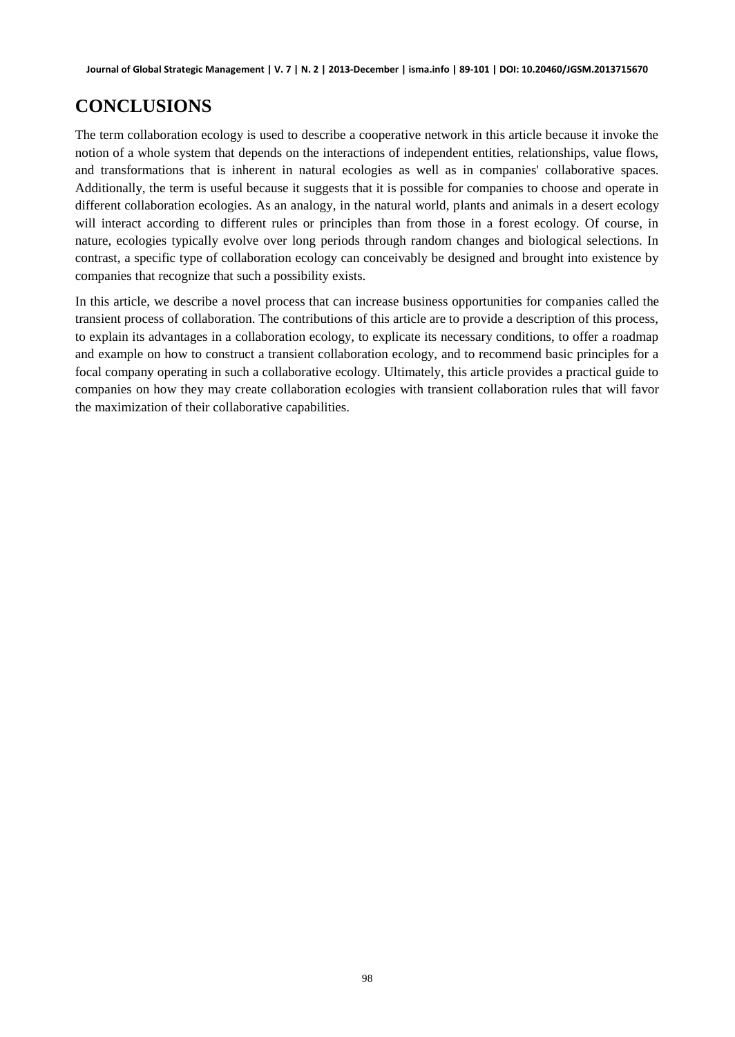# **CONCLUSIONS**

The term collaboration ecology is used to describe a cooperative network in this article because it invoke the notion of a whole system that depends on the interactions of independent entities, relationships, value flows, and transformations that is inherent in natural ecologies as well as in companies' collaborative spaces. Additionally, the term is useful because it suggests that it is possible for companies to choose and operate in different collaboration ecologies. As an analogy, in the natural world, plants and animals in a desert ecology will interact according to different rules or principles than from those in a forest ecology. Of course, in nature, ecologies typically evolve over long periods through random changes and biological selections. In contrast, a specific type of collaboration ecology can conceivably be designed and brought into existence by companies that recognize that such a possibility exists.

In this article, we describe a novel process that can increase business opportunities for companies called the transient process of collaboration. The contributions of this article are to provide a description of this process, to explain its advantages in a collaboration ecology, to explicate its necessary conditions, to offer a roadmap and example on how to construct a transient collaboration ecology, and to recommend basic principles for a focal company operating in such a collaborative ecology. Ultimately, this article provides a practical guide to companies on how they may create collaboration ecologies with transient collaboration rules that will favor the maximization of their collaborative capabilities.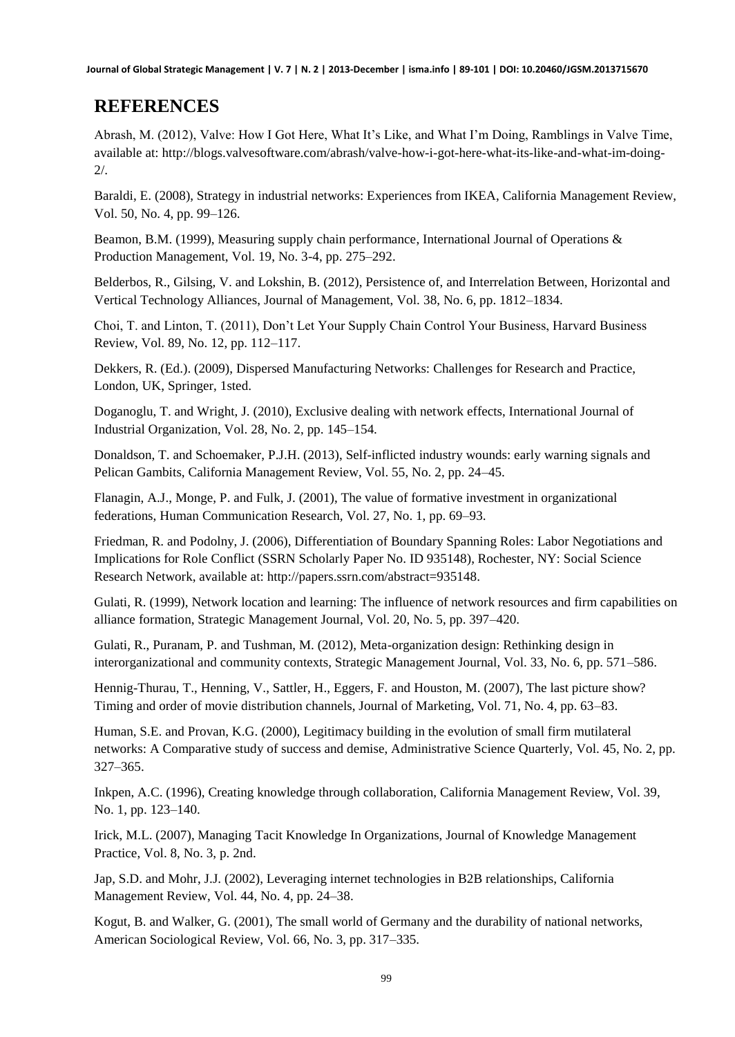**Journal of Global Strategic Management | V. 7 | N. 2 | 2013-December | isma.info | 89-101 | DOI: 10.20460/JGSM.2013715670**

## **REFERENCES**

Abrash, M. (2012), Valve: How I Got Here, What It's Like, and What I'm Doing, Ramblings in Valve Time, available at: http://blogs.valvesoftware.com/abrash/valve-how-i-got-here-what-its-like-and-what-im-doing-2/.

Baraldi, E. (2008), Strategy in industrial networks: Experiences from IKEA, California Management Review, Vol. 50, No. 4, pp. 99–126.

Beamon, B.M. (1999), Measuring supply chain performance, International Journal of Operations & Production Management, Vol. 19, No. 3-4, pp. 275–292.

Belderbos, R., Gilsing, V. and Lokshin, B. (2012), Persistence of, and Interrelation Between, Horizontal and Vertical Technology Alliances, Journal of Management, Vol. 38, No. 6, pp. 1812–1834.

Choi, T. and Linton, T. (2011), Don't Let Your Supply Chain Control Your Business, Harvard Business Review, Vol. 89, No. 12, pp. 112–117.

Dekkers, R. (Ed.). (2009), Dispersed Manufacturing Networks: Challenges for Research and Practice, London, UK, Springer, 1sted.

Doganoglu, T. and Wright, J. (2010), Exclusive dealing with network effects, International Journal of Industrial Organization, Vol. 28, No. 2, pp. 145–154.

Donaldson, T. and Schoemaker, P.J.H. (2013), Self-inflicted industry wounds: early warning signals and Pelican Gambits, California Management Review, Vol. 55, No. 2, pp. 24–45.

Flanagin, A.J., Monge, P. and Fulk, J. (2001), The value of formative investment in organizational federations, Human Communication Research, Vol. 27, No. 1, pp. 69–93.

Friedman, R. and Podolny, J. (2006), Differentiation of Boundary Spanning Roles: Labor Negotiations and Implications for Role Conflict (SSRN Scholarly Paper No. ID 935148), Rochester, NY: Social Science Research Network, available at: http://papers.ssrn.com/abstract=935148.

Gulati, R. (1999), Network location and learning: The influence of network resources and firm capabilities on alliance formation, Strategic Management Journal, Vol. 20, No. 5, pp. 397–420.

Gulati, R., Puranam, P. and Tushman, M. (2012), Meta-organization design: Rethinking design in interorganizational and community contexts, Strategic Management Journal, Vol. 33, No. 6, pp. 571–586.

Hennig-Thurau, T., Henning, V., Sattler, H., Eggers, F. and Houston, M. (2007), The last picture show? Timing and order of movie distribution channels, Journal of Marketing, Vol. 71, No. 4, pp. 63–83.

Human, S.E. and Provan, K.G. (2000), Legitimacy building in the evolution of small firm mutilateral networks: A Comparative study of success and demise, Administrative Science Quarterly, Vol. 45, No. 2, pp. 327–365.

Inkpen, A.C. (1996), Creating knowledge through collaboration, California Management Review, Vol. 39, No. 1, pp. 123–140.

Irick, M.L. (2007), Managing Tacit Knowledge In Organizations, Journal of Knowledge Management Practice, Vol. 8, No. 3, p. 2nd.

Jap, S.D. and Mohr, J.J. (2002), Leveraging internet technologies in B2B relationships, California Management Review, Vol. 44, No. 4, pp. 24–38.

Kogut, B. and Walker, G. (2001), The small world of Germany and the durability of national networks, American Sociological Review, Vol. 66, No. 3, pp. 317–335.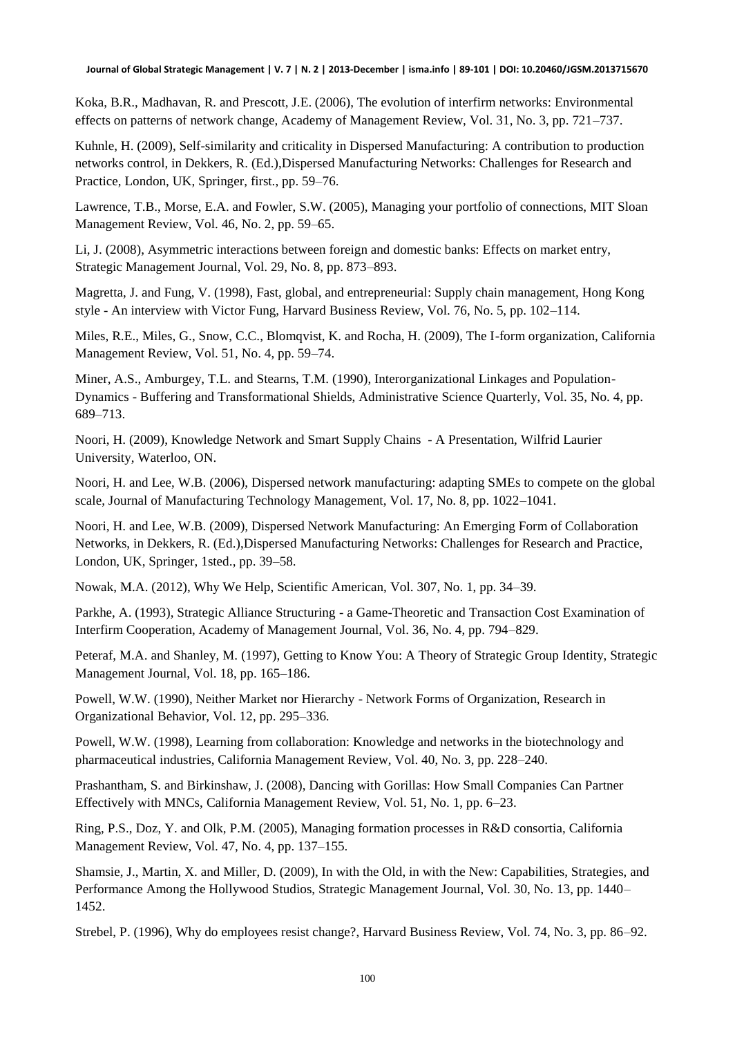Koka, B.R., Madhavan, R. and Prescott, J.E. (2006), The evolution of interfirm networks: Environmental effects on patterns of network change, Academy of Management Review, Vol. 31, No. 3, pp. 721–737.

Kuhnle, H. (2009), Self-similarity and criticality in Dispersed Manufacturing: A contribution to production networks control, in Dekkers, R. (Ed.),Dispersed Manufacturing Networks: Challenges for Research and Practice, London, UK, Springer, first., pp. 59–76.

Lawrence, T.B., Morse, E.A. and Fowler, S.W. (2005), Managing your portfolio of connections, MIT Sloan Management Review, Vol. 46, No. 2, pp. 59–65.

Li, J. (2008), Asymmetric interactions between foreign and domestic banks: Effects on market entry, Strategic Management Journal, Vol. 29, No. 8, pp. 873–893.

Magretta, J. and Fung, V. (1998), Fast, global, and entrepreneurial: Supply chain management, Hong Kong style - An interview with Victor Fung, Harvard Business Review, Vol. 76, No. 5, pp. 102–114.

Miles, R.E., Miles, G., Snow, C.C., Blomqvist, K. and Rocha, H. (2009), The I-form organization, California Management Review, Vol. 51, No. 4, pp. 59–74.

Miner, A.S., Amburgey, T.L. and Stearns, T.M. (1990), Interorganizational Linkages and Population-Dynamics - Buffering and Transformational Shields, Administrative Science Quarterly, Vol. 35, No. 4, pp. 689–713.

Noori, H. (2009), Knowledge Network and Smart Supply Chains - A Presentation, Wilfrid Laurier University, Waterloo, ON.

Noori, H. and Lee, W.B. (2006), Dispersed network manufacturing: adapting SMEs to compete on the global scale, Journal of Manufacturing Technology Management, Vol. 17, No. 8, pp. 1022–1041.

Noori, H. and Lee, W.B. (2009), Dispersed Network Manufacturing: An Emerging Form of Collaboration Networks, in Dekkers, R. (Ed.),Dispersed Manufacturing Networks: Challenges for Research and Practice, London, UK, Springer, 1sted., pp. 39–58.

Nowak, M.A. (2012), Why We Help, Scientific American, Vol. 307, No. 1, pp. 34–39.

Parkhe, A. (1993), Strategic Alliance Structuring - a Game-Theoretic and Transaction Cost Examination of Interfirm Cooperation, Academy of Management Journal, Vol. 36, No. 4, pp. 794–829.

Peteraf, M.A. and Shanley, M. (1997), Getting to Know You: A Theory of Strategic Group Identity, Strategic Management Journal, Vol. 18, pp. 165–186.

Powell, W.W. (1990), Neither Market nor Hierarchy - Network Forms of Organization, Research in Organizational Behavior, Vol. 12, pp. 295–336.

Powell, W.W. (1998), Learning from collaboration: Knowledge and networks in the biotechnology and pharmaceutical industries, California Management Review, Vol. 40, No. 3, pp. 228–240.

Prashantham, S. and Birkinshaw, J. (2008), Dancing with Gorillas: How Small Companies Can Partner Effectively with MNCs, California Management Review, Vol. 51, No. 1, pp. 6–23.

Ring, P.S., Doz, Y. and Olk, P.M. (2005), Managing formation processes in R&D consortia, California Management Review, Vol. 47, No. 4, pp. 137–155.

Shamsie, J., Martin, X. and Miller, D. (2009), In with the Old, in with the New: Capabilities, Strategies, and Performance Among the Hollywood Studios, Strategic Management Journal, Vol. 30, No. 13, pp. 1440– 1452.

Strebel, P. (1996), Why do employees resist change?, Harvard Business Review, Vol. 74, No. 3, pp. 86–92.